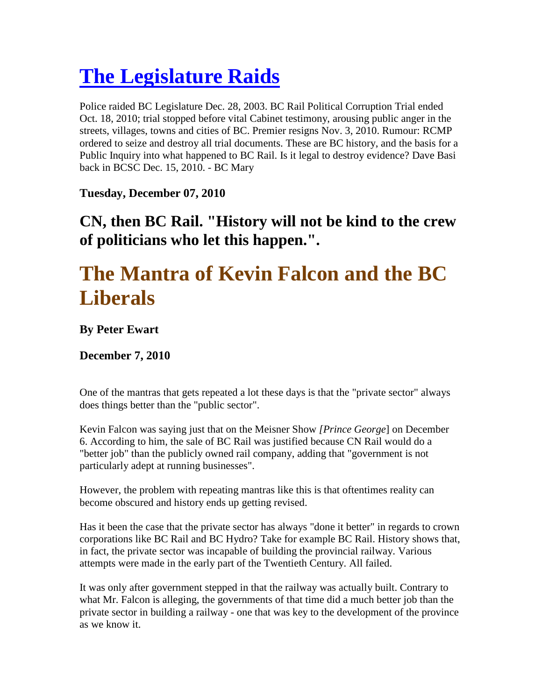## **The Legislature Raids**

Police raided BC Legislature Dec. 28, 2003. BC Rail Political Corruption Trial ended Oct. 18, 2010; trial stopped before vital Cabinet testimony, arousing public anger in the streets, villages, towns and cities of BC. Premier resigns Nov. 3, 2010. Rumour: RCMP ordered to seize and destroy all trial documents. These are BC history, and the basis for a Public Inquiry into what happened to BC Rail. Is it legal to destroy evidence? Dave Basi back in BCSC Dec. 15, 2010. - BC Mary

**Tuesday, December 07, 2010** 

## **CN, then BC Rail. "History will not be kind to the crew of politicians who let this happen.".**

## **The Mantra of Kevin Falcon and the BC Liberals**

**By Peter Ewart** 

**December 7, 2010** 

One of the mantras that gets repeated a lot these days is that the "private sector" always does things better than the "public sector".

Kevin Falcon was saying just that on the Meisner Show *[Prince George*] on December 6. According to him, the sale of BC Rail was justified because CN Rail would do a "better job" than the publicly owned rail company, adding that "government is not particularly adept at running businesses".

However, the problem with repeating mantras like this is that oftentimes reality can become obscured and history ends up getting revised.

Has it been the case that the private sector has always "done it better" in regards to crown corporations like BC Rail and BC Hydro? Take for example BC Rail. History shows that, in fact, the private sector was incapable of building the provincial railway. Various attempts were made in the early part of the Twentieth Century. All failed.

It was only after government stepped in that the railway was actually built. Contrary to what Mr. Falcon is alleging, the governments of that time did a much better job than the private sector in building a railway - one that was key to the development of the province as we know it.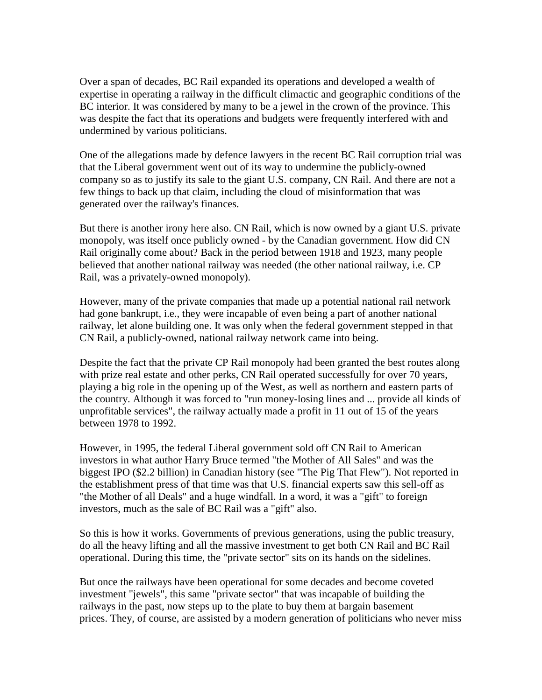Over a span of decades, BC Rail expanded its operations and developed a wealth of expertise in operating a railway in the difficult climactic and geographic conditions of the BC interior. It was considered by many to be a jewel in the crown of the province. This was despite the fact that its operations and budgets were frequently interfered with and undermined by various politicians.

One of the allegations made by defence lawyers in the recent BC Rail corruption trial was that the Liberal government went out of its way to undermine the publicly-owned company so as to justify its sale to the giant U.S. company, CN Rail. And there are not a few things to back up that claim, including the cloud of misinformation that was generated over the railway's finances.

But there is another irony here also. CN Rail, which is now owned by a giant U.S. private monopoly, was itself once publicly owned - by the Canadian government. How did CN Rail originally come about? Back in the period between 1918 and 1923, many people believed that another national railway was needed (the other national railway, i.e. CP Rail, was a privately-owned monopoly).

However, many of the private companies that made up a potential national rail network had gone bankrupt, i.e., they were incapable of even being a part of another national railway, let alone building one. It was only when the federal government stepped in that CN Rail, a publicly-owned, national railway network came into being.

Despite the fact that the private CP Rail monopoly had been granted the best routes along with prize real estate and other perks, CN Rail operated successfully for over 70 years, playing a big role in the opening up of the West, as well as northern and eastern parts of the country. Although it was forced to "run money-losing lines and ... provide all kinds of unprofitable services", the railway actually made a profit in 11 out of 15 of the years between 1978 to 1992.

However, in 1995, the federal Liberal government sold off CN Rail to American investors in what author Harry Bruce termed "the Mother of All Sales" and was the biggest IPO (\$2.2 billion) in Canadian history (see "The Pig That Flew"). Not reported in the establishment press of that time was that U.S. financial experts saw this sell-off as "the Mother of all Deals" and a huge windfall. In a word, it was a "gift" to foreign investors, much as the sale of BC Rail was a "gift" also.

So this is how it works. Governments of previous generations, using the public treasury, do all the heavy lifting and all the massive investment to get both CN Rail and BC Rail operational. During this time, the "private sector" sits on its hands on the sidelines.

But once the railways have been operational for some decades and become coveted investment "jewels", this same "private sector" that was incapable of building the railways in the past, now steps up to the plate to buy them at bargain basement prices. They, of course, are assisted by a modern generation of politicians who never miss